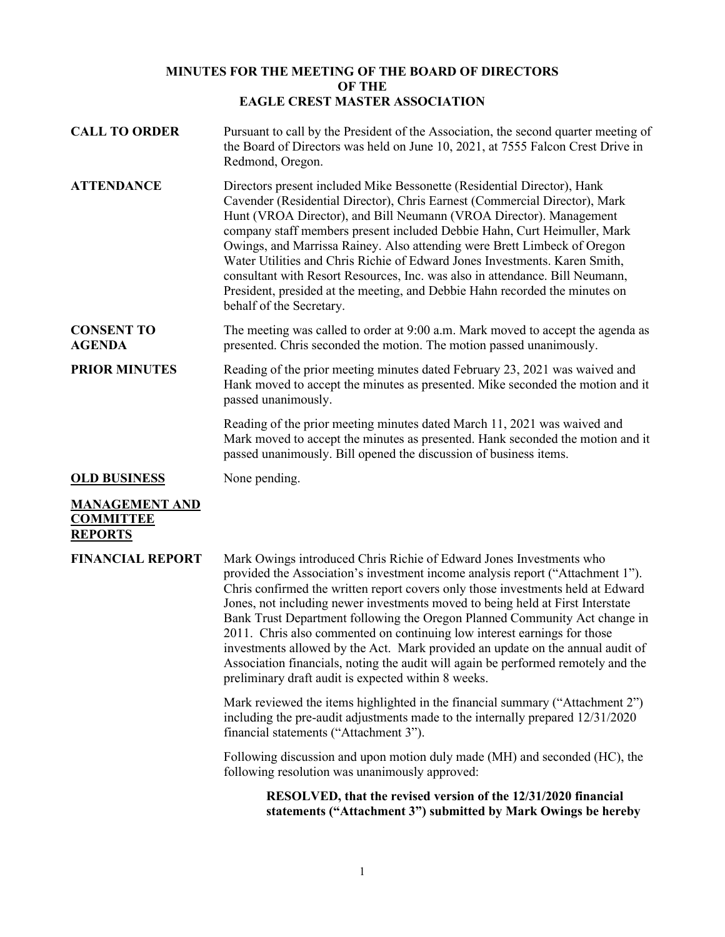# **MINUTES FOR THE MEETING OF THE BOARD OF DIRECTORS OF THE EAGLE CREST MASTER ASSOCIATION**

| <b>CALL TO ORDER</b>                                        | Pursuant to call by the President of the Association, the second quarter meeting of<br>the Board of Directors was held on June 10, 2021, at 7555 Falcon Crest Drive in<br>Redmond, Oregon.                                                                                                                                                                                                                                                                                                                                                                                                                                                                                                                         |
|-------------------------------------------------------------|--------------------------------------------------------------------------------------------------------------------------------------------------------------------------------------------------------------------------------------------------------------------------------------------------------------------------------------------------------------------------------------------------------------------------------------------------------------------------------------------------------------------------------------------------------------------------------------------------------------------------------------------------------------------------------------------------------------------|
| <b>ATTENDANCE</b>                                           | Directors present included Mike Bessonette (Residential Director), Hank<br>Cavender (Residential Director), Chris Earnest (Commercial Director), Mark<br>Hunt (VROA Director), and Bill Neumann (VROA Director). Management<br>company staff members present included Debbie Hahn, Curt Heimuller, Mark<br>Owings, and Marrissa Rainey. Also attending were Brett Limbeck of Oregon<br>Water Utilities and Chris Richie of Edward Jones Investments. Karen Smith,<br>consultant with Resort Resources, Inc. was also in attendance. Bill Neumann,<br>President, presided at the meeting, and Debbie Hahn recorded the minutes on<br>behalf of the Secretary.                                                       |
| <b>CONSENT TO</b><br><b>AGENDA</b>                          | The meeting was called to order at 9:00 a.m. Mark moved to accept the agenda as<br>presented. Chris seconded the motion. The motion passed unanimously.                                                                                                                                                                                                                                                                                                                                                                                                                                                                                                                                                            |
| <b>PRIOR MINUTES</b>                                        | Reading of the prior meeting minutes dated February 23, 2021 was waived and<br>Hank moved to accept the minutes as presented. Mike seconded the motion and it<br>passed unanimously.                                                                                                                                                                                                                                                                                                                                                                                                                                                                                                                               |
|                                                             | Reading of the prior meeting minutes dated March 11, 2021 was waived and<br>Mark moved to accept the minutes as presented. Hank seconded the motion and it<br>passed unanimously. Bill opened the discussion of business items.                                                                                                                                                                                                                                                                                                                                                                                                                                                                                    |
| <b>OLD BUSINESS</b>                                         | None pending.                                                                                                                                                                                                                                                                                                                                                                                                                                                                                                                                                                                                                                                                                                      |
| <b>MANAGEMENT AND</b><br><b>COMMITTEE</b><br><b>REPORTS</b> |                                                                                                                                                                                                                                                                                                                                                                                                                                                                                                                                                                                                                                                                                                                    |
| <b>FINANCIAL REPORT</b>                                     | Mark Owings introduced Chris Richie of Edward Jones Investments who<br>provided the Association's investment income analysis report ("Attachment 1").<br>Chris confirmed the written report covers only those investments held at Edward<br>Jones, not including newer investments moved to being held at First Interstate<br>Bank Trust Department following the Oregon Planned Community Act change in<br>2011. Chris also commented on continuing low interest earnings for those<br>investments allowed by the Act. Mark provided an update on the annual audit of<br>Association financials, noting the audit will again be performed remotely and the<br>preliminary draft audit is expected within 8 weeks. |
|                                                             | Mark reviewed the items highlighted in the financial summary ("Attachment 2")<br>including the pre-audit adjustments made to the internally prepared 12/31/2020<br>financial statements ("Attachment 3").                                                                                                                                                                                                                                                                                                                                                                                                                                                                                                          |
|                                                             | Following discussion and upon motion duly made (MH) and seconded (HC), the<br>following resolution was unanimously approved:                                                                                                                                                                                                                                                                                                                                                                                                                                                                                                                                                                                       |
|                                                             | RESOLVED, that the revised version of the 12/31/2020 financial<br>statements ("Attachment 3") submitted by Mark Owings be hereby                                                                                                                                                                                                                                                                                                                                                                                                                                                                                                                                                                                   |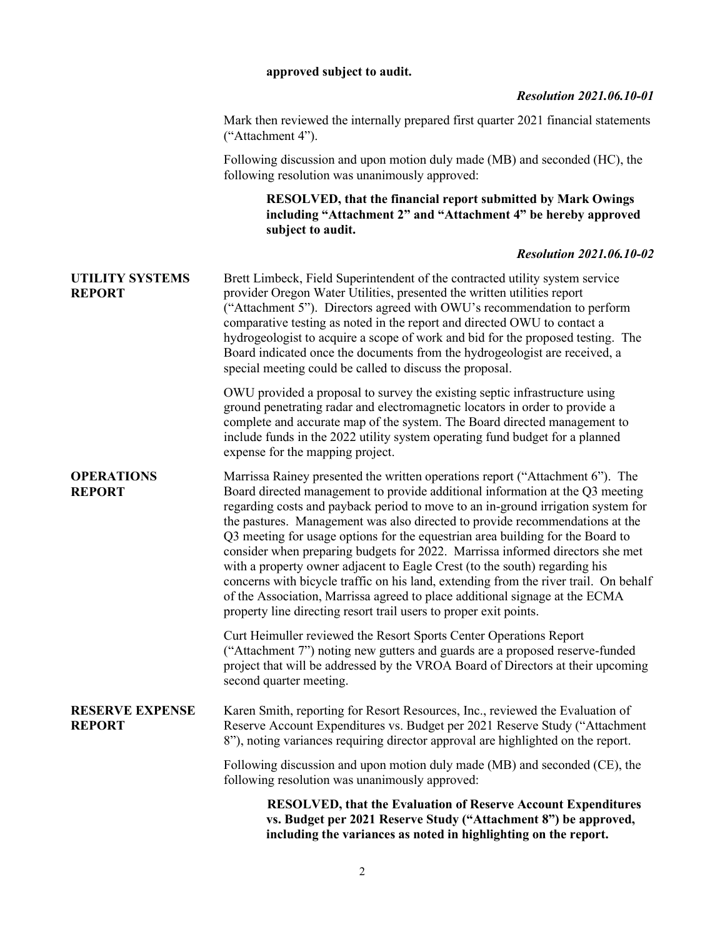#### **approved subject to audit.**

### *Resolution 2021.06.10-01*

Mark then reviewed the internally prepared first quarter 2021 financial statements ("Attachment 4").

Following discussion and upon motion duly made (MB) and seconded (HC), the following resolution was unanimously approved:

### **RESOLVED, that the financial report submitted by Mark Owings including "Attachment 2" and "Attachment 4" be hereby approved subject to audit.**

## *Resolution 2021.06.10-02*

**UTILITY SYSTEMS REPORT** Brett Limbeck, Field Superintendent of the contracted utility system service provider Oregon Water Utilities, presented the written utilities report ("Attachment 5"). Directors agreed with OWU's recommendation to perform comparative testing as noted in the report and directed OWU to contact a hydrogeologist to acquire a scope of work and bid for the proposed testing. The Board indicated once the documents from the hydrogeologist are received, a special meeting could be called to discuss the proposal.

> OWU provided a proposal to survey the existing septic infrastructure using ground penetrating radar and electromagnetic locators in order to provide a complete and accurate map of the system. The Board directed management to include funds in the 2022 utility system operating fund budget for a planned expense for the mapping project.

**OPERATIONS REPORT** Marrissa Rainey presented the written operations report ("Attachment 6"). The Board directed management to provide additional information at the Q3 meeting regarding costs and payback period to move to an in-ground irrigation system for the pastures. Management was also directed to provide recommendations at the Q3 meeting for usage options for the equestrian area building for the Board to consider when preparing budgets for 2022. Marrissa informed directors she met with a property owner adjacent to Eagle Crest (to the south) regarding his concerns with bicycle traffic on his land, extending from the river trail. On behalf of the Association, Marrissa agreed to place additional signage at the ECMA property line directing resort trail users to proper exit points.

> Curt Heimuller reviewed the Resort Sports Center Operations Report ("Attachment 7") noting new gutters and guards are a proposed reserve-funded project that will be addressed by the VROA Board of Directors at their upcoming second quarter meeting.

#### **RESERVE EXPENSE REPORT**

Karen Smith, reporting for Resort Resources, Inc., reviewed the Evaluation of Reserve Account Expenditures vs. Budget per 2021 Reserve Study ("Attachment 8"), noting variances requiring director approval are highlighted on the report.

Following discussion and upon motion duly made (MB) and seconded (CE), the following resolution was unanimously approved:

> **RESOLVED, that the Evaluation of Reserve Account Expenditures vs. Budget per 2021 Reserve Study ("Attachment 8") be approved, including the variances as noted in highlighting on the report.**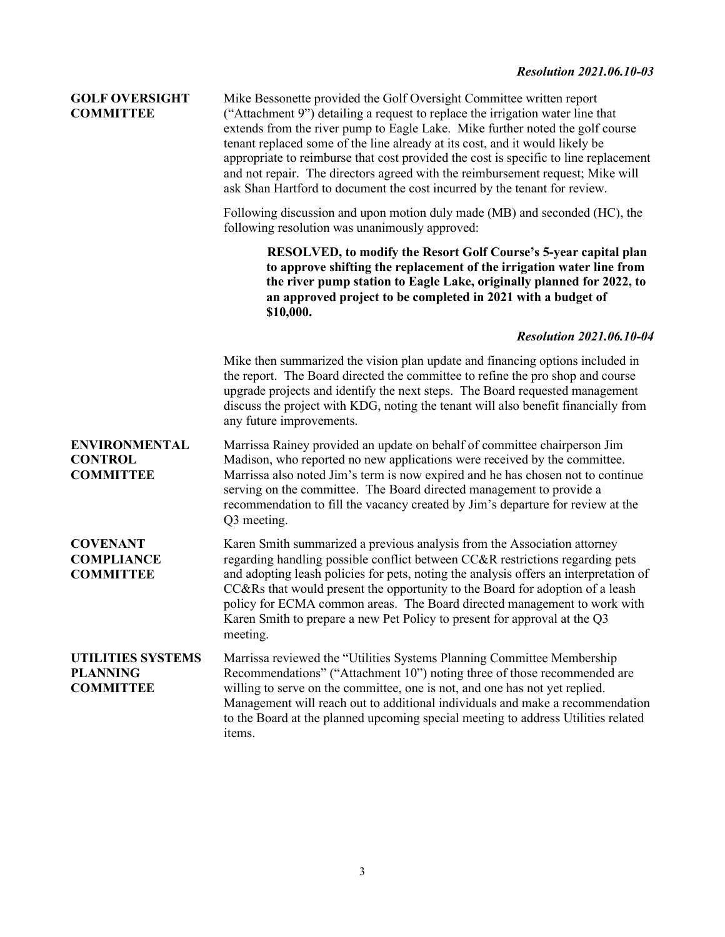# **GOLF OVERSIGHT COMMITTEE**

Mike Bessonette provided the Golf Oversight Committee written report ("Attachment 9") detailing a request to replace the irrigation water line that extends from the river pump to Eagle Lake. Mike further noted the golf course tenant replaced some of the line already at its cost, and it would likely be appropriate to reimburse that cost provided the cost is specific to line replacement and not repair. The directors agreed with the reimbursement request; Mike will ask Shan Hartford to document the cost incurred by the tenant for review.

Following discussion and upon motion duly made (MB) and seconded (HC), the following resolution was unanimously approved:

> **RESOLVED, to modify the Resort Golf Course's 5-year capital plan to approve shifting the replacement of the irrigation water line from the river pump station to Eagle Lake, originally planned for 2022, to an approved project to be completed in 2021 with a budget of \$10,000.**

## *Resolution 2021.06.10-04*

Mike then summarized the vision plan update and financing options included in the report. The Board directed the committee to refine the pro shop and course upgrade projects and identify the next steps. The Board requested management discuss the project with KDG, noting the tenant will also benefit financially from any future improvements.

**ENVIRONMENTAL CONTROL COMMITTEE** Marrissa Rainey provided an update on behalf of committee chairperson Jim Madison, who reported no new applications were received by the committee. Marrissa also noted Jim's term is now expired and he has chosen not to continue serving on the committee. The Board directed management to provide a recommendation to fill the vacancy created by Jim's departure for review at the Q3 meeting.

**COVENANT COMPLIANCE COMMITTEE** Karen Smith summarized a previous analysis from the Association attorney regarding handling possible conflict between CC&R restrictions regarding pets and adopting leash policies for pets, noting the analysis offers an interpretation of CC&Rs that would present the opportunity to the Board for adoption of a leash policy for ECMA common areas. The Board directed management to work with Karen Smith to prepare a new Pet Policy to present for approval at the Q3 meeting.

**UTILITIES SYSTEMS PLANNING COMMITTEE** Marrissa reviewed the "Utilities Systems Planning Committee Membership Recommendations" ("Attachment 10") noting three of those recommended are willing to serve on the committee, one is not, and one has not yet replied. Management will reach out to additional individuals and make a recommendation to the Board at the planned upcoming special meeting to address Utilities related items.